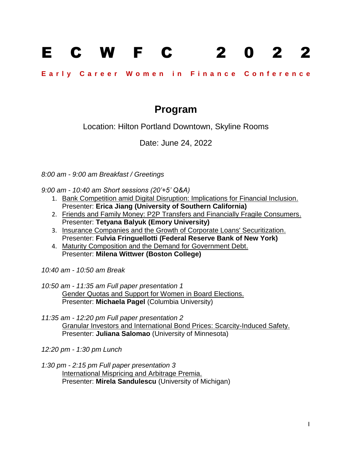## E C W F C 2 0 2 2

## Early Career Women in Finance Conference

## **Program**

Location: Hilton Portland Downtown, Skyline Rooms

Date: June 24, 2022

*8:00 am - 9:00 am Breakfast / Greetings*

*9:00 am - 10:40 am Short sessions (20'+5' Q&A)* 

- 1. Bank Competition amid Digital Disruption: Implications for Financial Inclusion. Presenter: **Erica Jiang (University of Southern California)**
- 2. Friends and Family Money: P2P Transfers and Financially Fragile Consumers. Presenter: **Tetyana Balyuk (Emory University)**
- 3. Insurance Companies and the Growth of Corporate Loans' Securitization. Presenter: **Fulvia Fringuellotti (Federal Reserve Bank of New York)**
- 4. Maturity Composition and the Demand for Government Debt. Presenter: **Milena Wittwer (Boston College)**

*10:40 am - 10:50 am Break*

- *10:50 am - 11:35 am Full paper presentation 1*  Gender Quotas and Support for Women in Board Elections. Presenter: **Michaela Pagel** (Columbia University)
- *11:35 am - 12:20 pm Full paper presentation 2* Granular Investors and International Bond Prices: Scarcity-Induced Safety. Presenter: **Juliana Salomao** (University of Minnesota)

*12:20 pm - 1:30 pm Lunch*

*1:30 pm - 2:15 pm Full paper presentation 3* International Mispricing and Arbitrage Premia. Presenter: **Mirela Sandulescu** (University of Michigan)